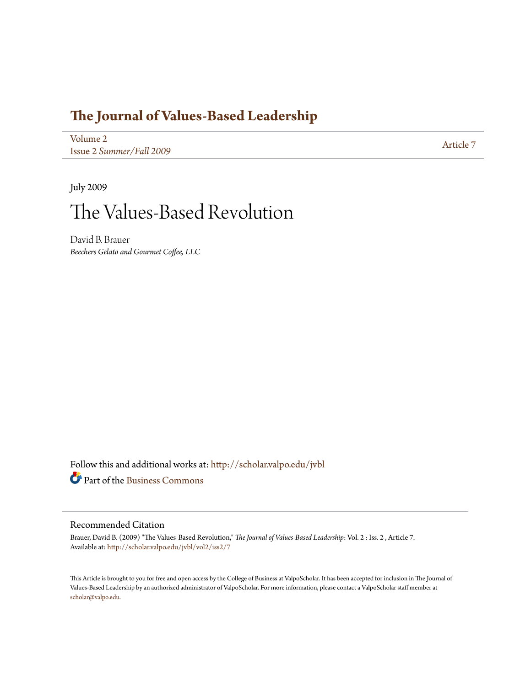### **[The Journal of Values-Based Leadership](http://scholar.valpo.edu/jvbl?utm_source=scholar.valpo.edu%2Fjvbl%2Fvol2%2Fiss2%2F7&utm_medium=PDF&utm_campaign=PDFCoverPages)**

[Volume 2](http://scholar.valpo.edu/jvbl/vol2?utm_source=scholar.valpo.edu%2Fjvbl%2Fvol2%2Fiss2%2F7&utm_medium=PDF&utm_campaign=PDFCoverPages) Issue 2 *[Summer/Fall 2009](http://scholar.valpo.edu/jvbl/vol2/iss2?utm_source=scholar.valpo.edu%2Fjvbl%2Fvol2%2Fiss2%2F7&utm_medium=PDF&utm_campaign=PDFCoverPages)* [Article 7](http://scholar.valpo.edu/jvbl/vol2/iss2/7?utm_source=scholar.valpo.edu%2Fjvbl%2Fvol2%2Fiss2%2F7&utm_medium=PDF&utm_campaign=PDFCoverPages)

July 2009

## The Values-Based Revolution

David B. Brauer *Beechers Gelato and Gourmet Coffee, LLC*

Follow this and additional works at: [http://scholar.valpo.edu/jvbl](http://scholar.valpo.edu/jvbl?utm_source=scholar.valpo.edu%2Fjvbl%2Fvol2%2Fiss2%2F7&utm_medium=PDF&utm_campaign=PDFCoverPages) Part of the [Business Commons](http://network.bepress.com/hgg/discipline/622?utm_source=scholar.valpo.edu%2Fjvbl%2Fvol2%2Fiss2%2F7&utm_medium=PDF&utm_campaign=PDFCoverPages)

#### Recommended Citation

Brauer, David B. (2009) "The Values-Based Revolution," *The Journal of Values-Based Leadership*: Vol. 2 : Iss. 2 , Article 7. Available at: [http://scholar.valpo.edu/jvbl/vol2/iss2/7](http://scholar.valpo.edu/jvbl/vol2/iss2/7?utm_source=scholar.valpo.edu%2Fjvbl%2Fvol2%2Fiss2%2F7&utm_medium=PDF&utm_campaign=PDFCoverPages)

This Article is brought to you for free and open access by the College of Business at ValpoScholar. It has been accepted for inclusion in The Journal of Values-Based Leadership by an authorized administrator of ValpoScholar. For more information, please contact a ValpoScholar staff member at [scholar@valpo.edu.](mailto:scholar@valpo.edu)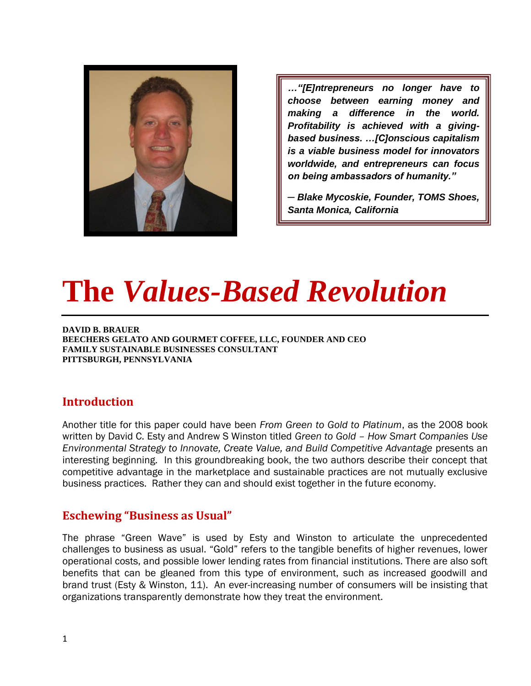

*…"[E]ntrepreneurs no longer have to choose between earning money and making a difference in the world. Profitability is achieved with a givingbased business. …[C]onscious capitalism is a viable business model for innovators worldwide, and entrepreneurs can focus on being ambassadors of humanity."*

*─ Blake Mycoskie, Founder, TOMS Shoes, Santa Monica, California*

# **The** *Values-Based Revolution*

**DAVID B. BRAUER BEECHERS GELATO AND GOURMET COFFEE, LLC, FOUNDER AND CEO FAMILY SUSTAINABLE BUSINESSES CONSULTANT PITTSBURGH, PENNSYLVANIA** 

#### **Introduction**

Another title for this paper could have been *From Green to Gold to Platinum*, as the 2008 book written by David C. Esty and Andrew S Winston titled *Green to Gold – How Smart Companies Use Environmental Strategy to Innovate, Create Value, and Build Competitive Advantage* presents an interesting beginning. In this groundbreaking book, the two authors describe their concept that competitive advantage in the marketplace and sustainable practices are not mutually exclusive business practices. Rather they can and should exist together in the future economy.

#### **Eschewing "Business as Usual"**

The phrase "Green Wave" is used by Esty and Winston to articulate the unprecedented challenges to business as usual. "Gold" refers to the tangible benefits of higher revenues, lower operational costs, and possible lower lending rates from financial institutions. There are also soft benefits that can be gleaned from this type of environment, such as increased goodwill and brand trust (Esty & Winston, 11). An ever-increasing number of consumers will be insisting that organizations transparently demonstrate how they treat the environment.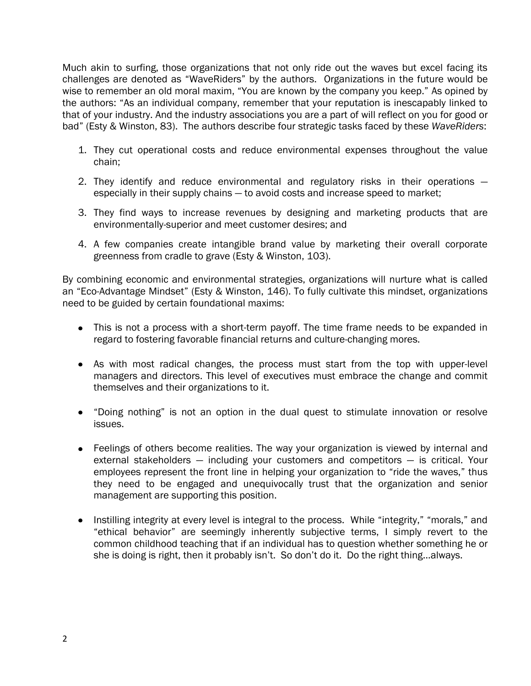Much akin to surfing, those organizations that not only ride out the waves but excel facing its challenges are denoted as "WaveRiders" by the authors. Organizations in the future would be wise to remember an old moral maxim, "You are known by the company you keep." As opined by the authors: "As an individual company, remember that your reputation is inescapably linked to that of your industry. And the industry associations you are a part of will reflect on you for good or bad‖ (Esty & Winston, 83). The authors describe four strategic tasks faced by these *WaveRiders*:

- 1. They cut operational costs and reduce environmental expenses throughout the value chain;
- 2. They identify and reduce environmental and regulatory risks in their operations especially in their supply chains — to avoid costs and increase speed to market;
- 3. They find ways to increase revenues by designing and marketing products that are environmentally-superior and meet customer desires; and
- 4. A few companies create intangible brand value by marketing their overall corporate greenness from cradle to grave (Esty & Winston, 103).

By combining economic and environmental strategies, organizations will nurture what is called an "Eco-Advantage Mindset" (Esty & Winston, 146). To fully cultivate this mindset, organizations need to be guided by certain foundational maxims:

- This is not a process with a short-term payoff. The time frame needs to be expanded in regard to fostering favorable financial returns and culture-changing mores.
- As with most radical changes, the process must start from the top with upper-level managers and directors. This level of executives must embrace the change and commit themselves and their organizations to it.
- "Doing nothing" is not an option in the dual quest to stimulate innovation or resolve issues.
- Feelings of others become realities. The way your organization is viewed by internal and external stakeholders — including your customers and competitors — is critical. Your employees represent the front line in helping your organization to "ride the waves," thus they need to be engaged and unequivocally trust that the organization and senior management are supporting this position.
- Instilling integrity at every level is integral to the process. While "integrity," "morals," and "ethical behavior" are seemingly inherently subjective terms, I simply revert to the common childhood teaching that if an individual has to question whether something he or she is doing is right, then it probably isn't. So don't do it. Do the right thing…always.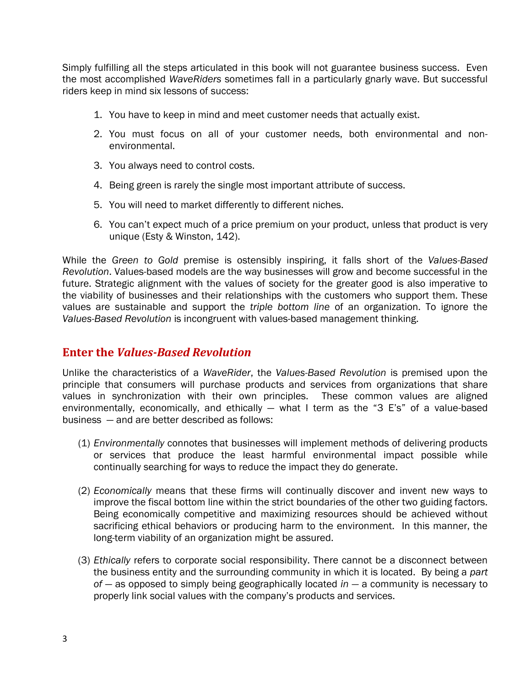Simply fulfilling all the steps articulated in this book will not guarantee business success. Even the most accomplished *WaveRiders* sometimes fall in a particularly gnarly wave. But successful riders keep in mind six lessons of success:

- 1. You have to keep in mind and meet customer needs that actually exist.
- 2. You must focus on all of your customer needs, both environmental and nonenvironmental.
- 3. You always need to control costs.
- 4. Being green is rarely the single most important attribute of success.
- 5. You will need to market differently to different niches.
- 6. You can't expect much of a price premium on your product, unless that product is very unique (Esty & Winston, 142).

While the *Green to Gold* premise is ostensibly inspiring, it falls short of the *Values-Based Revolution*. Values-based models are the way businesses will grow and become successful in the future. Strategic alignment with the values of society for the greater good is also imperative to the viability of businesses and their relationships with the customers who support them. These values are sustainable and support the *triple bottom line* of an organization. To ignore the *Values-Based Revolution* is incongruent with values-based management thinking.

#### **Enter the** *Values-Based Revolution*

Unlike the characteristics of a *WaveRider*, the *Values-Based Revolution* is premised upon the principle that consumers will purchase products and services from organizations that share values in synchronization with their own principles. These common values are aligned environmentally, economically, and ethically  $-$  what I term as the "3 E's" of a value-based business — and are better described as follows:

- (1) *Environmentally* connotes that businesses will implement methods of delivering products or services that produce the least harmful environmental impact possible while continually searching for ways to reduce the impact they do generate.
- (2) *Economically* means that these firms will continually discover and invent new ways to improve the fiscal bottom line within the strict boundaries of the other two guiding factors. Being economically competitive and maximizing resources should be achieved without sacrificing ethical behaviors or producing harm to the environment. In this manner, the long-term viability of an organization might be assured.
- (3) *Ethically* refers to corporate social responsibility. There cannot be a disconnect between the business entity and the surrounding community in which it is located. By being a *part of* — as opposed to simply being geographically located *in —* a community is necessary to properly link social values with the company's products and services.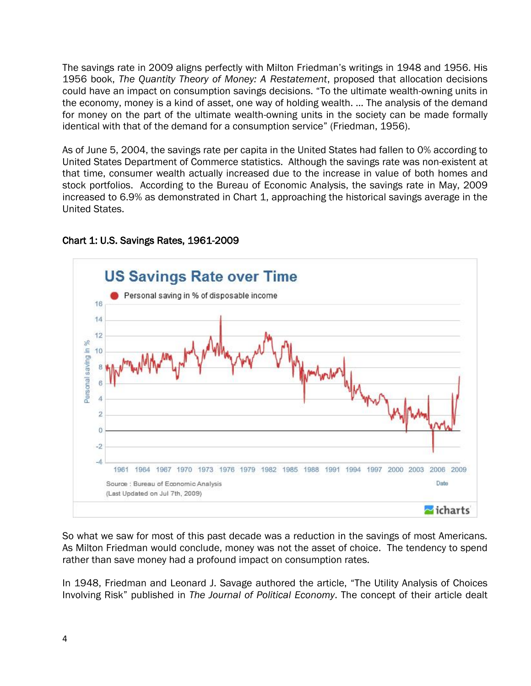The savings rate in 2009 aligns perfectly with Milton Friedman's writings in 1948 and 1956. His 1956 book, *The Quantity Theory of Money: A Restatement*, proposed that allocation decisions could have an impact on consumption savings decisions. "To the ultimate wealth-owning units in the economy, money is a kind of asset, one way of holding wealth. … The analysis of the demand for money on the part of the ultimate wealth-owning units in the society can be made formally identical with that of the demand for a consumption service" (Friedman, 1956).

As of June 5, 2004, the savings rate per capita in the United States had fallen to 0% according to United States Department of Commerce statistics. Although the savings rate was non-existent at that time, consumer wealth actually increased due to the increase in value of both homes and stock portfolios. According to the Bureau of Economic Analysis, the savings rate in May, 2009 increased to 6.9% as demonstrated in Chart 1, approaching the historical savings average in the United States.



#### Chart 1: U.S. Savings Rates, 1961-2009

So what we saw for most of this past decade was a reduction in the savings of most Americans. As Milton Friedman would conclude, money was not the asset of choice. The tendency to spend rather than save money had a profound impact on consumption rates.

In 1948, Friedman and Leonard J. Savage authored the article, "The Utility Analysis of Choices Involving Risk" published in *The Journal of Political Economy*. The concept of their article dealt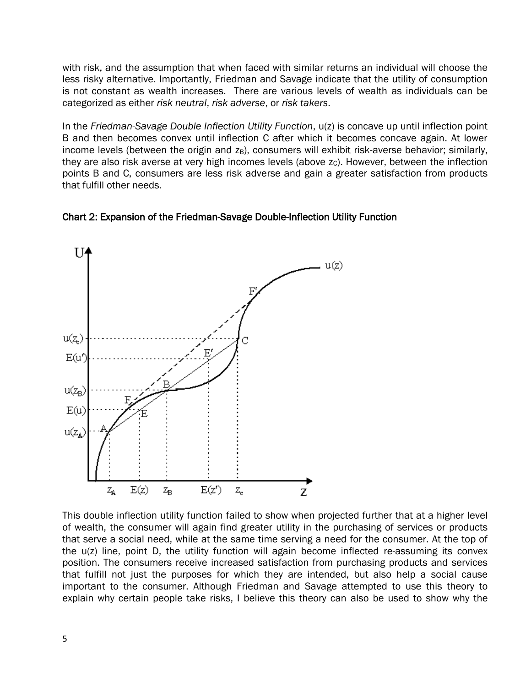with risk, and the assumption that when faced with similar returns an individual will choose the less risky alternative. Importantly, Friedman and Savage indicate that the utility of consumption is not constant as wealth increases. There are various levels of wealth as individuals can be categorized as either *risk neutral*, *risk adverse*, or *risk takers*.

In the *Friedman-Savage Double Inflection Utility Function*, u(z) is concave up until inflection point B and then becomes convex until inflection C after which it becomes concave again. At lower income levels (between the origin and  $z_B$ ), consumers will exhibit risk-averse behavior; similarly, they are also risk averse at very high incomes levels (above  $z<sub>c</sub>$ ). However, between the inflection points B and C, consumers are less risk adverse and gain a greater satisfaction from products that fulfill other needs.





This double inflection utility function failed to show when projected further that at a higher level of wealth, the consumer will again find greater utility in the purchasing of services or products that serve a social need, while at the same time serving a need for the consumer. At the top of the u(z) line, point D, the utility function will again become inflected re-assuming its convex position. The consumers receive increased satisfaction from purchasing products and services that fulfill not just the purposes for which they are intended, but also help a social cause important to the consumer. Although Friedman and Savage attempted to use this theory to explain why certain people take risks, I believe this theory can also be used to show why the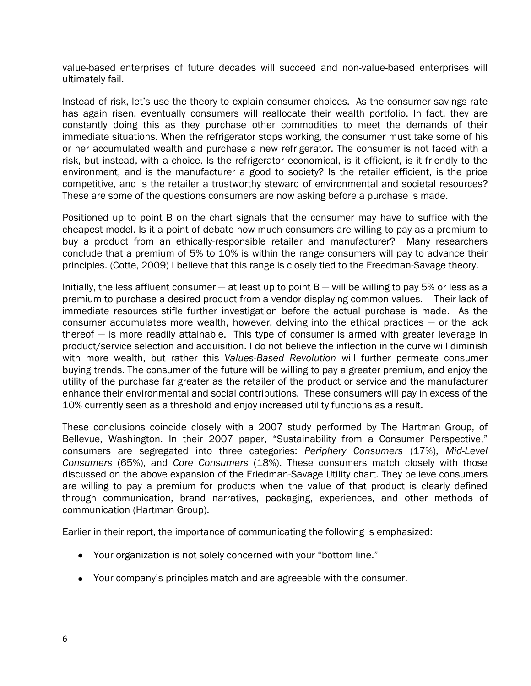value-based enterprises of future decades will succeed and non-value-based enterprises will ultimately fail.

Instead of risk, let's use the theory to explain consumer choices. As the consumer savings rate has again risen, eventually consumers will reallocate their wealth portfolio. In fact, they are constantly doing this as they purchase other commodities to meet the demands of their immediate situations. When the refrigerator stops working, the consumer must take some of his or her accumulated wealth and purchase a new refrigerator. The consumer is not faced with a risk, but instead, with a choice. Is the refrigerator economical, is it efficient, is it friendly to the environment, and is the manufacturer a good to society? Is the retailer efficient, is the price competitive, and is the retailer a trustworthy steward of environmental and societal resources? These are some of the questions consumers are now asking before a purchase is made.

Positioned up to point B on the chart signals that the consumer may have to suffice with the cheapest model. Is it a point of debate how much consumers are willing to pay as a premium to buy a product from an ethically-responsible retailer and manufacturer? Many researchers conclude that a premium of 5% to 10% is within the range consumers will pay to advance their principles. (Cotte, 2009) I believe that this range is closely tied to the Freedman-Savage theory.

Initially, the less affluent consumer — at least up to point B — will be willing to pay 5% or less as a premium to purchase a desired product from a vendor displaying common values. Their lack of immediate resources stifle further investigation before the actual purchase is made. As the consumer accumulates more wealth, however, delving into the ethical practices — or the lack thereof — is more readily attainable. This type of consumer is armed with greater leverage in product/service selection and acquisition. I do not believe the inflection in the curve will diminish with more wealth, but rather this *Values-Based Revolution* will further permeate consumer buying trends. The consumer of the future will be willing to pay a greater premium, and enjoy the utility of the purchase far greater as the retailer of the product or service and the manufacturer enhance their environmental and social contributions. These consumers will pay in excess of the 10% currently seen as a threshold and enjoy increased utility functions as a result.

These conclusions coincide closely with a 2007 study performed by The Hartman Group, of Bellevue, Washington. In their 2007 paper, "Sustainability from a Consumer Perspective," consumers are segregated into three categories: *Periphery Consumers* (17%), *Mid-Level Consumers* (65%), and *Core Consumers* (18%). These consumers match closely with those discussed on the above expansion of the Friedman-Savage Utility chart. They believe consumers are willing to pay a premium for products when the value of that product is clearly defined through communication, brand narratives, packaging, experiences, and other methods of communication (Hartman Group).

Earlier in their report, the importance of communicating the following is emphasized:

- Your organization is not solely concerned with your "bottom line."
- Your company's principles match and are agreeable with the consumer.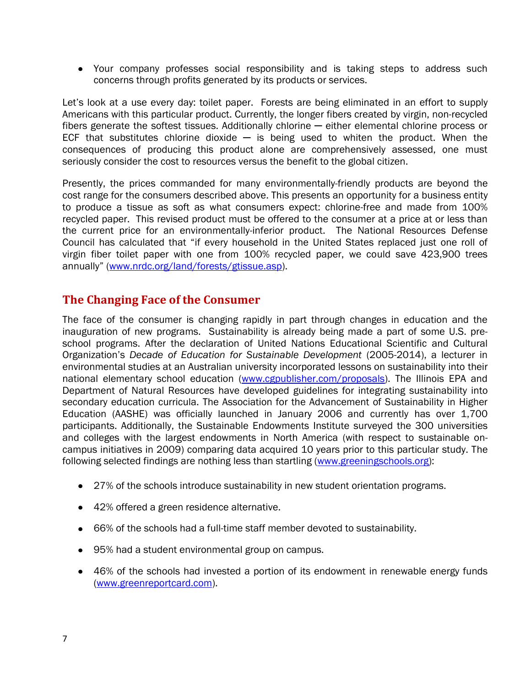Your company professes social responsibility and is taking steps to address such concerns through profits generated by its products or services.

Let's look at a use every day: toilet paper. Forests are being eliminated in an effort to supply Americans with this particular product. Currently, the longer fibers created by virgin, non-recycled fibers generate the softest tissues. Additionally chlorine — either elemental chlorine process or ECF that substitutes chlorine dioxide  $-$  is being used to whiten the product. When the consequences of producing this product alone are comprehensively assessed, one must seriously consider the cost to resources versus the benefit to the global citizen.

Presently, the prices commanded for many environmentally-friendly products are beyond the cost range for the consumers described above. This presents an opportunity for a business entity to produce a tissue as soft as what consumers expect: chlorine-free and made from 100% recycled paper. This revised product must be offered to the consumer at a price at or less than the current price for an environmentally-inferior product. The National Resources Defense Council has calculated that "if every household in the United States replaced just one roll of virgin fiber toilet paper with one from 100% recycled paper, we could save 423,900 trees annually" ([www.nrdc.org/land/forests/gtissue.asp\)](http://www.nrdc.org/land/forests/gtissue.asp).

#### **The Changing Face of the Consumer**

The face of the consumer is changing rapidly in part through changes in education and the inauguration of new programs. Sustainability is already being made a part of some U.S. preschool programs. After the declaration of United Nations Educational Scientific and Cultural Organization's *Decade of Education for Sustainable Development* (2005-2014), a lecturer in environmental studies at an Australian university incorporated lessons on sustainability into their national elementary school education [\(www.cgpublisher.com/proposals\)](http://www.cgpublisher.com/proposals). The Illinois EPA and Department of Natural Resources have developed guidelines for integrating sustainability into secondary education curricula. The Association for the Advancement of Sustainability in Higher Education (AASHE) was officially launched in January 2006 and currently has over 1,700 participants. Additionally, the Sustainable Endowments Institute surveyed the 300 universities and colleges with the largest endowments in North America (with respect to sustainable oncampus initiatives in 2009) comparing data acquired 10 years prior to this particular study. The following selected findings are nothing less than startling [\(www.greeningschools.org\)](http://www.greeningschools.org/):

- 27% of the schools introduce sustainability in new student orientation programs.
- 42% offered a green residence alternative.
- 66% of the schools had a full-time staff member devoted to sustainability.
- 95% had a student environmental group on campus.
- 46% of the schools had invested a portion of its endowment in renewable energy funds [\(www.greenreportcard.com\)](http://www.greenreportcard.com/).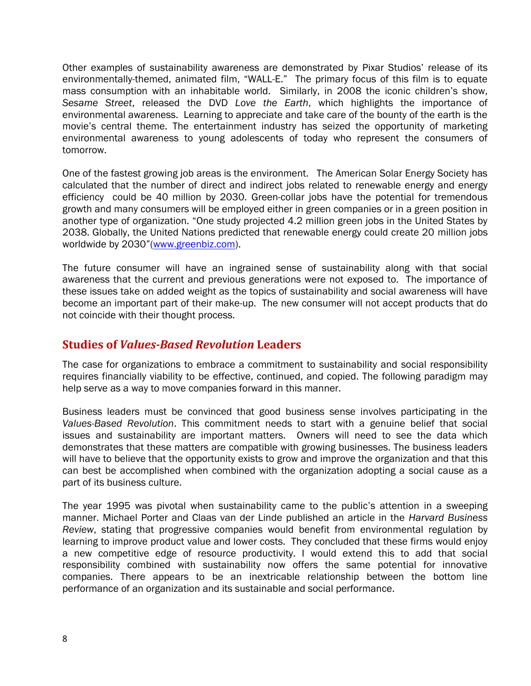Other examples of sustainability awareness are demonstrated by Pixar Studios' release of its environmentally-themed, animated film, "WALL-E." The primary focus of this film is to equate mass consumption with an inhabitable world. Similarly, in 2008 the iconic children's show, *Sesame Street*, released the DVD *Love the Earth*, which highlights the importance of environmental awareness. Learning to appreciate and take care of the bounty of the earth is the movie's central theme. The entertainment industry has seized the opportunity of marketing environmental awareness to young adolescents of today who represent the consumers of tomorrow.

One of the fastest growing job areas is the environment. The American Solar Energy Society has calculated that the number of direct and indirect jobs related to renewable energy and energy efficiency could be 40 million by 2030. Green-collar jobs have the potential for tremendous growth and many consumers will be employed either in green companies or in a green position in another type of organization. "One study projected 4.2 million green jobs in the United States by 2038. Globally, the United Nations predicted that renewable energy could create 20 million jobs worldwide by 2030"([www.greenbiz.com\)](http://www.greenbiz.com/).

The future consumer will have an ingrained sense of sustainability along with that social awareness that the current and previous generations were not exposed to. The importance of these issues take on added weight as the topics of sustainability and social awareness will have become an important part of their make-up. The new consumer will not accept products that do not coincide with their thought process.

#### **Studies of** *Values-Based Revolution* **Leaders**

The case for organizations to embrace a commitment to sustainability and social responsibility requires financially viability to be effective, continued, and copied. The following paradigm may help serve as a way to move companies forward in this manner.

Business leaders must be convinced that good business sense involves participating in the *Values-Based Revolution*. This commitment needs to start with a genuine belief that social issues and sustainability are important matters. Owners will need to see the data which demonstrates that these matters are compatible with growing businesses. The business leaders will have to believe that the opportunity exists to grow and improve the organization and that this can best be accomplished when combined with the organization adopting a social cause as a part of its business culture.

The year 1995 was pivotal when sustainability came to the public's attention in a sweeping manner. Michael Porter and Claas van der Linde published an article in the *Harvard Business Review*, stating that progressive companies would benefit from environmental regulation by learning to improve product value and lower costs. They concluded that these firms would enjoy a new competitive edge of resource productivity. I would extend this to add that social responsibility combined with sustainability now offers the same potential for innovative companies. There appears to be an inextricable relationship between the bottom line performance of an organization and its sustainable and social performance.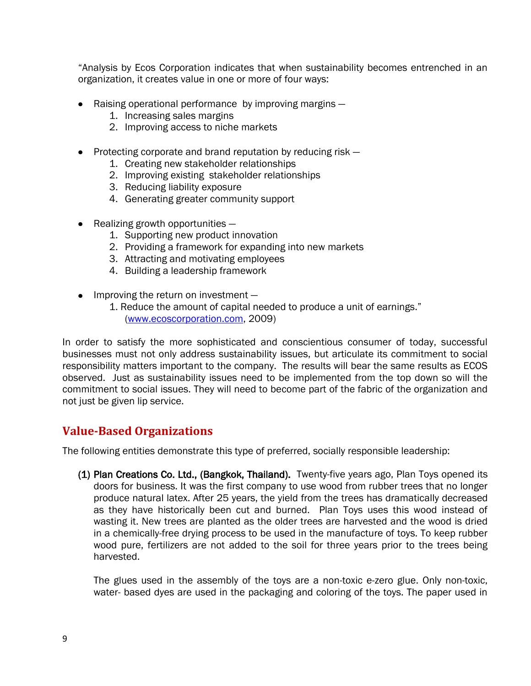―Analysis by Ecos Corporation indicates that when sustainability becomes entrenched in an organization, it creates value in one or more of four ways:

- Raising operational performance by improving margins  $-$ 
	- 1. Increasing sales margins
	- 2. Improving access to niche markets
- $\bullet$  Protecting corporate and brand reputation by reducing risk  $-$ 
	- 1. Creating new stakeholder relationships
	- 2. Improving existing stakeholder relationships
	- 3. Reducing liability exposure
	- 4. Generating greater community support
- $\bullet$  Realizing growth opportunities  $-$ 
	- 1. Supporting new product innovation
	- 2. Providing a framework for expanding into new markets
	- 3. Attracting and motivating employees
	- 4. Building a leadership framework
- Improving the return on investment -
	- 1. Reduce the amount of capital needed to produce a unit of earnings." [\(www.ecoscorporation.com,](http://www.ecoscorporation.com/) 2009)

In order to satisfy the more sophisticated and conscientious consumer of today, successful businesses must not only address sustainability issues, but articulate its commitment to social responsibility matters important to the company. The results will bear the same results as ECOS observed. Just as sustainability issues need to be implemented from the top down so will the commitment to social issues. They will need to become part of the fabric of the organization and not just be given lip service.

#### **Value-Based Organizations**

The following entities demonstrate this type of preferred, socially responsible leadership:

(1) Plan Creations Co. Ltd., (Bangkok, Thailand). Twenty-five years ago, Plan Toys opened its doors for business. It was the first company to use wood from rubber trees that no longer produce natural latex. After 25 years, the yield from the trees has dramatically decreased as they have historically been cut and burned. Plan Toys uses this wood instead of wasting it. New trees are planted as the older trees are harvested and the wood is dried in a chemically-free drying process to be used in the manufacture of toys. To keep rubber wood pure, fertilizers are not added to the soil for three years prior to the trees being harvested.

The glues used in the assembly of the toys are a non-toxic e-zero glue. Only non-toxic, water- based dyes are used in the packaging and coloring of the toys. The paper used in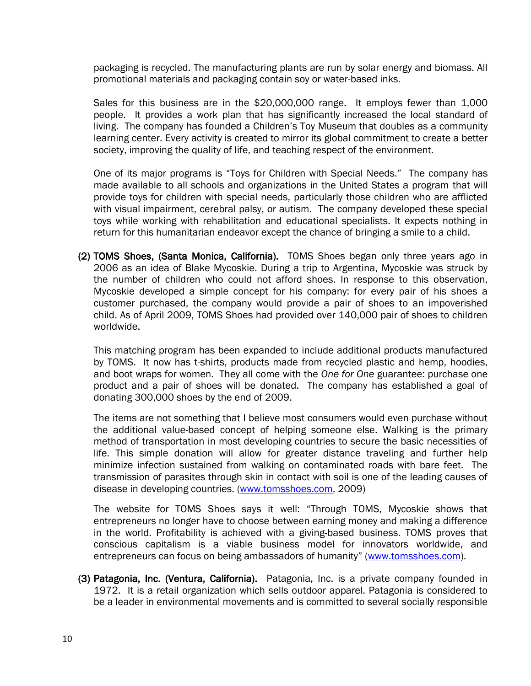packaging is recycled. The manufacturing plants are run by solar energy and biomass. All promotional materials and packaging contain soy or water-based inks.

Sales for this business are in the \$20,000,000 range. It employs fewer than 1,000 people. It provides a work plan that has significantly increased the local standard of living. The company has founded a Children's Toy Museum that doubles as a community learning center. Every activity is created to mirror its global commitment to create a better society, improving the quality of life, and teaching respect of the environment.

One of its major programs is "Toys for Children with Special Needs." The company has made available to all schools and organizations in the United States a program that will provide toys for children with special needs, particularly those children who are afflicted with visual impairment, cerebral palsy, or autism. The company developed these special toys while working with rehabilitation and educational specialists. It expects nothing in return for this humanitarian endeavor except the chance of bringing a smile to a child.

(2) TOMS Shoes, (Santa Monica, California). TOMS Shoes began only three years ago in 2006 as an idea of Blake Mycoskie. During a trip to Argentina, Mycoskie was struck by the number of children who could not afford shoes. In response to this observation, Mycoskie developed a simple concept for his company: for every pair of his shoes a customer purchased, the company would provide a pair of shoes to an impoverished child. As of April 2009, TOMS Shoes had provided over 140,000 pair of shoes to children worldwide.

This matching program has been expanded to include additional products manufactured by TOMS. It now has t-shirts, products made from recycled plastic and hemp, hoodies, and boot wraps for women. They all come with the *One for One* guarantee: purchase one product and a pair of shoes will be donated. The company has established a goal of donating 300,000 shoes by the end of 2009.

The items are not something that I believe most consumers would even purchase without the additional value-based concept of helping someone else. Walking is the primary method of transportation in most developing countries to secure the basic necessities of life. This simple donation will allow for greater distance traveling and further help minimize infection sustained from walking on contaminated roads with bare feet. The transmission of parasites through skin in contact with soil is one of the leading causes of disease in developing countries. [\(www.tomsshoes.com,](http://www.tomsshoes.com/) 2009)

The website for TOMS Shoes says it well: "Through TOMS, Mycoskie shows that entrepreneurs no longer have to choose between earning money and making a difference in the world. Profitability is achieved with a giving-based business. TOMS proves that conscious capitalism is a viable business model for innovators worldwide, and entrepreneurs can focus on being ambassadors of humanity" ([www.tomsshoes.com\)](http://www.tomsshoes.com/).

(3) Patagonia, Inc. (Ventura, California). Patagonia, Inc. is a private company founded in 1972. It is a retail organization which sells outdoor apparel. Patagonia is considered to be a leader in environmental movements and is committed to several socially responsible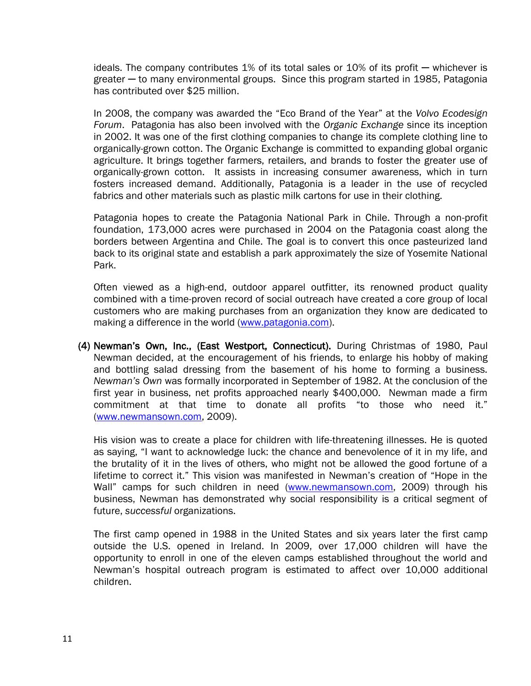ideals. The company contributes  $1\%$  of its total sales or  $10\%$  of its profit — whichever is greater ─ to many environmental groups. Since this program started in 1985, Patagonia has contributed over \$25 million.

In 2008, the company was awarded the "Eco Brand of the Year" at the *Volvo Ecodesign Forum*. Patagonia has also been involved with the *Organic Exchange* since its inception in 2002. It was one of the first clothing companies to change its complete clothing line to organically-grown cotton. The Organic Exchange is committed to expanding global organic agriculture. It brings together farmers, retailers, and brands to foster the greater use of organically-grown cotton. It assists in increasing consumer awareness, which in turn fosters increased demand. Additionally, Patagonia is a leader in the use of recycled fabrics and other materials such as plastic milk cartons for use in their clothing.

Patagonia hopes to create the Patagonia National Park in Chile. Through a non-profit foundation, 173,000 acres were purchased in 2004 on the Patagonia coast along the borders between Argentina and Chile. The goal is to convert this once pasteurized land back to its original state and establish a park approximately the size of Yosemite National Park.

Often viewed as a high-end, outdoor apparel outfitter, its renowned product quality combined with a time-proven record of social outreach have created a core group of local customers who are making purchases from an organization they know are dedicated to making a difference in the world [\(www.patagonia.com\)](http://www.patagonia.com/).

(4) Newman's Own, Inc., (East Westport, Connecticut). During Christmas of 1980, Paul Newman decided, at the encouragement of his friends, to enlarge his hobby of making and bottling salad dressing from the basement of his home to forming a business. *Newman's Own* was formally incorporated in September of 1982. At the conclusion of the first year in business, net profits approached nearly \$400,000. Newman made a firm commitment at that time to donate all profits "to those who need it." [\(www.newmansown.com,](http://www.newmansown.com/) 2009).

His vision was to create a place for children with life-threatening illnesses. He is quoted as saying, "I want to acknowledge luck: the chance and benevolence of it in my life, and the brutality of it in the lives of others, who might not be allowed the good fortune of a lifetime to correct it." This vision was manifested in Newman's creation of "Hope in the Wall" camps for such children in need [\(www.newmansown.com,](http://www.newmansown.com/) 2009) through his business, Newman has demonstrated why social responsibility is a critical segment of future, *successful* organizations.

The first camp opened in 1988 in the United States and six years later the first camp outside the U.S. opened in Ireland. In 2009, over 17,000 children will have the opportunity to enroll in one of the eleven camps established throughout the world and Newman's hospital outreach program is estimated to affect over 10,000 additional children.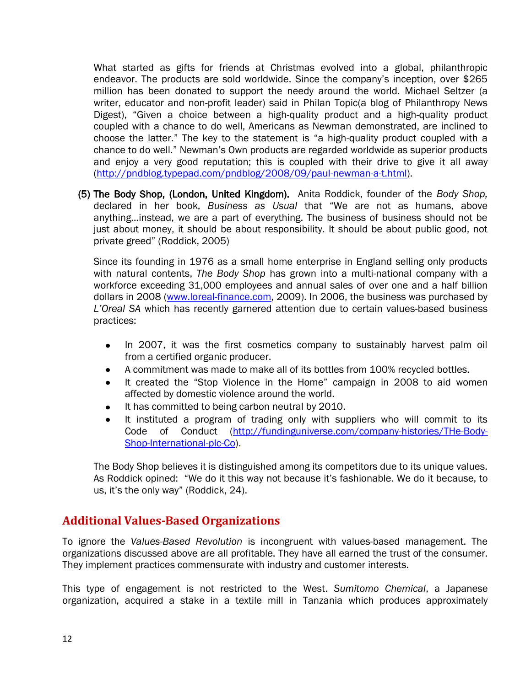What started as gifts for friends at Christmas evolved into a global, philanthropic endeavor. The products are sold worldwide. Since the company's inception, over \$265 million has been donated to support the needy around the world. Michael Seltzer (a writer, educator and non-profit leader) said in Philan Topic(a blog of Philanthropy News Digest), "Given a choice between a high-quality product and a high-quality product coupled with a chance to do well, Americans as Newman demonstrated, are inclined to choose the latter." The key to the statement is "a high-quality product coupled with a chance to do well." Newman's Own products are regarded worldwide as superior products and enjoy a very good reputation; this is coupled with their drive to give it all away [\(http://pndblog.typepad.com/pndblog/2008/09/paul-newman-a-t.html\)](http://pndblog.typepad.com/pndblog/2008/09/paul-newman-a-t.html).

(5) The Body Shop, (London, United Kingdom). Anita Roddick, founder of the *Body Shop,*  declared in her book, Business as Usual that "We are not as humans, above anything…instead, we are a part of everything. The business of business should not be just about money, it should be about responsibility. It should be about public good, not private greed‖ (Roddick, 2005)

Since its founding in 1976 as a small home enterprise in England selling only products with natural contents, *The Body Shop* has grown into a multi-national company with a workforce exceeding 31,000 employees and annual sales of over one and a half billion dollars in 2008 [\(www.loreal-finance.com,](http://www.loreal-finance.com/) 2009). In 2006, the business was purchased by *L'Oreal SA* which has recently garnered attention due to certain values-based business practices:

- In 2007, it was the first cosmetics company to sustainably harvest palm oil  $\bullet$ from a certified organic producer.
- A commitment was made to make all of its bottles from 100% recycled bottles.  $\bullet$
- $\bullet$ It created the "Stop Violence in the Home" campaign in 2008 to aid women affected by domestic violence around the world.
- It has committed to being carbon neutral by 2010.  $\bullet$
- It instituted a program of trading only with suppliers who will commit to its  $\bullet$  Code of Conduct [\(http://fundinguniverse.com/company-histories/THe-Body-](http://fundinguniverse.com/company-histories/THe-Body-%09Shop-International-plc-Co)  [Shop-International-plc-Co\)](http://fundinguniverse.com/company-histories/THe-Body-%09Shop-International-plc-Co).

The Body Shop believes it is distinguished among its competitors due to its unique values. As Roddick opined: "We do it this way not because it's fashionable. We do it because, to us, it's the only way" (Roddick, 24).

#### **Additional Values-Based Organizations**

To ignore the *Values-Based Revolution* is incongruent with values-based management. The organizations discussed above are all profitable. They have all earned the trust of the consumer. They implement practices commensurate with industry and customer interests.

This type of engagement is not restricted to the West. *Sumitomo Chemical*, a Japanese organization, acquired a stake in a textile mill in Tanzania which produces approximately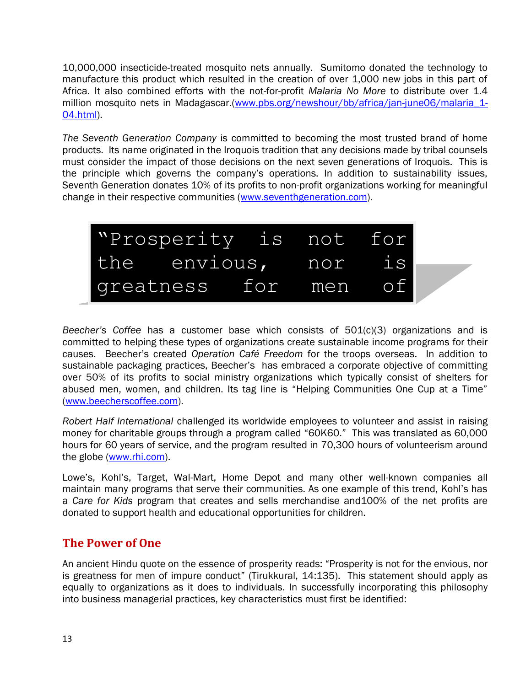10,000,000 insecticide-treated mosquito nets annually. Sumitomo donated the technology to manufacture this product which resulted in the creation of over 1,000 new jobs in this part of Africa. It also combined efforts with the not-for-profit *Malaria No More* to distribute over 1.4 million mosquito nets in Madagascar.[\(www.pbs.org/newshour/bb/africa/jan-june06/malaria\\_1-](http://www.pbs.org/newshour/bb/africa/jan-june06/malaria_1-04.html) [04.html\)](http://www.pbs.org/newshour/bb/africa/jan-june06/malaria_1-04.html).

*The Seventh Generation Company* is committed to becoming the most trusted brand of home products. Its name originated in the Iroquois tradition that any decisions made by tribal counsels must consider the impact of those decisions on the next seven generations of Iroquois. This is the principle which governs the company's operations. In addition to sustainability issues, Seventh Generation donates 10% of its profits to non-profit organizations working for meaningful change in their respective communities [\(www.seventhgeneration.com\)](http://www.seventhgeneration.com/).



*Beecher's Coffee* has a customer base which consists of 501(c)(3) organizations and is committed to beloir and these types of organizations create sustainable income programs for their committed to helping these types of organizations create sustainable income programs for their causes. Beecher's created *Operation Café Freedom* for the troops overseas. In addition to sustainable packaging practices, Beecher's has embraced a corporate objective of committing over 50% of its profits to social ministry organizations which typically consist of shelters for abused men, women, and children. Its tag line is "Helping Communities One Cup at a Time" [\(www.beecherscoffee.com\)](http://www.beecherscoffee.com/).

*Robert Half International* challenged its worldwide employees to volunteer and assist in raising money for charitable groups through a program called "60K60." This was translated as 60,000 hours for 60 years of service, and the program resulted in 70,300 hours of volunteerism around the globe [\(www.rhi.com\)](http://www.rhi.com/).

Lowe's, Kohl's, Target, Wal-Mart, Home Depot and many other well-known companies all maintain many programs that serve their communities. As one example of this trend, Kohl's has a *Care for Kids* program that creates and sells merchandise and100% of the net profits are donated to support health and educational opportunities for children.

#### **The Power of One**

An ancient Hindu quote on the essence of prosperity reads: "Prosperity is not for the envious, nor is greatness for men of impure conduct" (Tirukkural, 14:135). This statement should apply as equally to organizations as it does to individuals. In successfully incorporating this philosophy into business managerial practices, key characteristics must first be identified: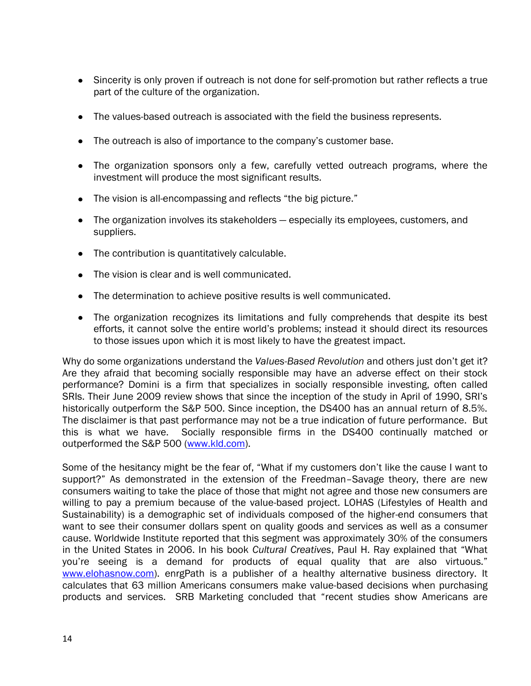- Sincerity is only proven if outreach is not done for self-promotion but rather reflects a true part of the culture of the organization.
- The values-based outreach is associated with the field the business represents.
- The outreach is also of importance to the company's customer base.
- The organization sponsors only a few, carefully vetted outreach programs, where the investment will produce the most significant results.
- The vision is all-encompassing and reflects "the big picture."
- The organization involves its stakeholders especially its employees, customers, and suppliers.
- The contribution is quantitatively calculable.
- The vision is clear and is well communicated.
- The determination to achieve positive results is well communicated.
- The organization recognizes its limitations and fully comprehends that despite its best efforts, it cannot solve the entire world's problems; instead it should direct its resources to those issues upon which it is most likely to have the greatest impact.

Why do some organizations understand the *Values-Based Revolution* and others just don't get it? Are they afraid that becoming socially responsible may have an adverse effect on their stock performance? Domini is a firm that specializes in socially responsible investing, often called SRIs. Their June 2009 review shows that since the inception of the study in April of 1990, SRI's historically outperform the S&P 500. Since inception, the DS400 has an annual return of 8.5%. The disclaimer is that past performance may not be a true indication of future performance. But this is what we have. Socially responsible firms in the DS400 continually matched or outperformed the S&P 500 [\(www.kld.com\)](http://www.kld.com/).

Some of the hesitancy might be the fear of, "What if my customers don't like the cause I want to support?" As demonstrated in the extension of the Freedman–Savage theory, there are new consumers waiting to take the place of those that might not agree and those new consumers are willing to pay a premium because of the value-based project. LOHAS (Lifestyles of Health and Sustainability) is a demographic set of individuals composed of the higher-end consumers that want to see their consumer dollars spent on quality goods and services as well as a consumer cause. Worldwide Institute reported that this segment was approximately 30% of the consumers in the United States in 2006. In his book *Cultural Creatives*, Paul H. Ray explained that "What you're seeing is a demand for products of equal quality that are also virtuous." [www.elohasnow.com\)](http://www.elohasnow.com/). enrgPath is a publisher of a healthy alternative business directory. It calculates that 63 million Americans consumers make value-based decisions when purchasing products and services. SRB Marketing concluded that "recent studies show Americans are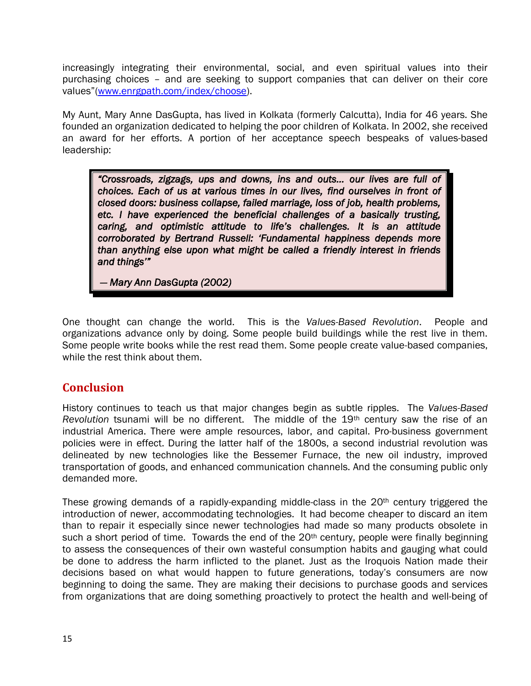increasingly integrating their environmental, social, and even spiritual values into their purchasing choices – and are seeking to support companies that can deliver on their core values"([www.enrgpath.com/index/choose\)](http://www.enrgpath.com/index/choose).

My Aunt, Mary Anne DasGupta, has lived in Kolkata (formerly Calcutta), India for 46 years. She founded an organization dedicated to helping the poor children of Kolkata. In 2002, she received an award for her efforts. A portion of her acceptance speech bespeaks of values-based leadership:

*―Crossroads, zigzags, ups and downs, ins and outs… our lives are full of choices. Each of us at various times in our lives, find ourselves in front of closed doors: business collapse, failed marriage, loss of job, health problems, etc. I have experienced the beneficial challenges of a basically trusting, caring, and optimistic attitude to life's challenges. It is an attitude corroborated by Bertrand Russell: ‗Fundamental happiness depends more than anything else upon what might be called a friendly interest in friends and things'‖* 

 *— Mary Ann DasGupta (2002)* 

One thought can change the world. This is the *Values-Based Revolution*. People and organizations advance only by doing. Some people build buildings while the rest live in them. Some people write books while the rest read them. Some people create value-based companies, while the rest think about them.

#### **Conclusion**

History continues to teach us that major changes begin as subtle ripples. The *Values-Based Revolution* tsunami will be no different. The middle of the 19th century saw the rise of an industrial America. There were ample resources, labor, and capital. Pro-business government policies were in effect. During the latter half of the 1800s, a second industrial revolution was delineated by new technologies like the Bessemer Furnace, the new oil industry, improved transportation of goods, and enhanced communication channels. And the consuming public only demanded more.

These growing demands of a rapidly-expanding middle-class in the 20<sup>th</sup> century triggered the introduction of newer, accommodating technologies. It had become cheaper to discard an item than to repair it especially since newer technologies had made so many products obsolete in such a short period of time. Towards the end of the 20<sup>th</sup> century, people were finally beginning to assess the consequences of their own wasteful consumption habits and gauging what could be done to address the harm inflicted to the planet. Just as the Iroquois Nation made their decisions based on what would happen to future generations, today's consumers are now beginning to doing the same. They are making their decisions to purchase goods and services from organizations that are doing something proactively to protect the health and well-being of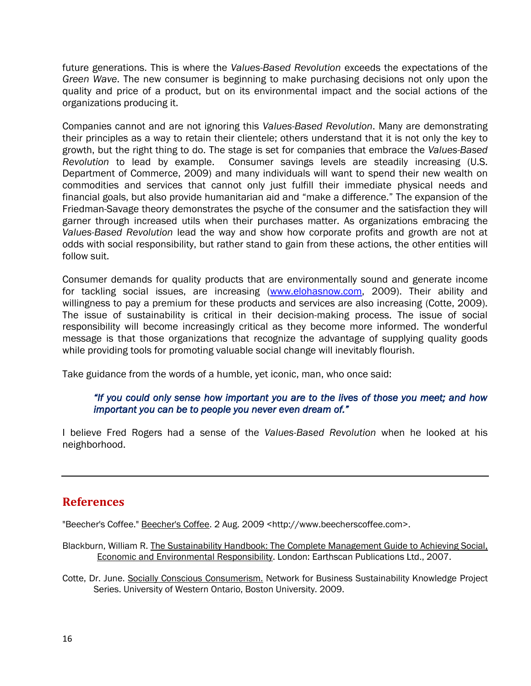future generations. This is where the *Values-Based Revolution* exceeds the expectations of the *Green Wave*. The new consumer is beginning to make purchasing decisions not only upon the quality and price of a product, but on its environmental impact and the social actions of the organizations producing it.

Companies cannot and are not ignoring this *Values-Based Revolution*. Many are demonstrating their principles as a way to retain their clientele; others understand that it is not only the key to growth, but the right thing to do. The stage is set for companies that embrace the *Values-Based Revolution* to lead by example. Consumer savings levels are steadily increasing (U.S. Department of Commerce, 2009) and many individuals will want to spend their new wealth on commodities and services that cannot only just fulfill their immediate physical needs and financial goals, but also provide humanitarian aid and "make a difference." The expansion of the Friedman-Savage theory demonstrates the psyche of the consumer and the satisfaction they will garner through increased utils when their purchases matter. As organizations embracing the *Values-Based Revolution* lead the way and show how corporate profits and growth are not at odds with social responsibility, but rather stand to gain from these actions, the other entities will follow suit.

Consumer demands for quality products that are environmentally sound and generate income for tackling social issues, are increasing [\(www.elohasnow.com,](http://www.elohasnow.com/) 2009). Their ability and willingness to pay a premium for these products and services are also increasing (Cotte, 2009). The issue of sustainability is critical in their decision-making process. The issue of social responsibility will become increasingly critical as they become more informed. The wonderful message is that those organizations that recognize the advantage of supplying quality goods while providing tools for promoting valuable social change will inevitably flourish.

Take guidance from the words of a humble, yet iconic, man, who once said:

#### *―If you could only sense how important you are to the lives of those you meet; and how important you can be to people you never even dream of."*

I believe Fred Rogers had a sense of the *Values-Based Revolution* when he looked at his neighborhood.

#### **References**

"Beecher's Coffee." Beecher's Coffee. 2 Aug. 2009 <http://www.beecherscoffee.com>.

- Blackburn, William R. The Sustainability Handbook: The Complete Management Guide to Achieving Social, Economic and Environmental Responsibility. London: Earthscan Publications Ltd., 2007.
- Cotte, Dr. June. Socially Conscious Consumerism. Network for Business Sustainability Knowledge Project Series. University of Western Ontario, Boston University. 2009.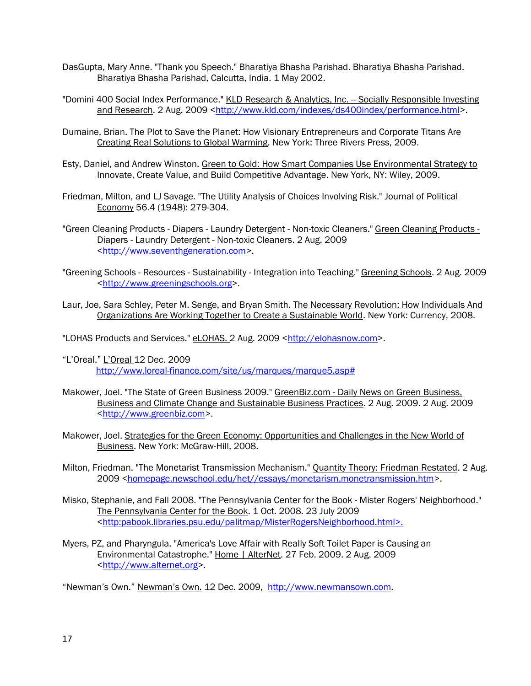- DasGupta, Mary Anne. "Thank you Speech." Bharatiya Bhasha Parishad. Bharatiya Bhasha Parishad. Bharatiya Bhasha Parishad, Calcutta, India. 1 May 2002.
- "Domini 400 Social Index Performance." KLD Research & Analytics, Inc. -- Socially Responsible Investing and Research. 2 Aug. 2009 <http://www.kld.com/indexes/ds400index/performance.html>.
- Dumaine, Brian. The Plot to Save the Planet: How Visionary Entrepreneurs and Corporate Titans Are Creating Real Solutions to Global Warming. New York: Three Rivers Press, 2009.
- Esty, Daniel, and Andrew Winston. Green to Gold: How Smart Companies Use Environmental Strategy to Innovate, Create Value, and Build Competitive Advantage. New York, NY: Wiley, 2009.
- Friedman, Milton, and LJ Savage. "The Utility Analysis of Choices Involving Risk." Journal of Political Economy 56.4 (1948): 279-304.
- "Green Cleaning Products Diapers Laundry Detergent Non-toxic Cleaners." Green Cleaning Products -Diapers - Laundry Detergent - Non-toxic Cleaners. 2 Aug. 2009 <http://www.seventhgeneration.com>.
- "Greening Schools Resources Sustainability Integration into Teaching." Greening Schools. 2 Aug. 2009 <http://www.greeningschools.org>.
- Laur, Joe, Sara Schley, Peter M. Senge, and Bryan Smith. The Necessary Revolution: How Individuals And Organizations Are Working Together to Create a Sustainable World. New York: Currency, 2008.

"LOHAS Products and Services." eLOHAS. 2 Aug. 2009 <http://elohasnow.com>.

- ―L'Oreal.‖ L'Oreal 12 Dec. 2009 [http://www.loreal-finance.com/site/us/marques/marque5.asp#](http://www.loreal-finance.com/site/us/marques/marque5.asp)
- Makower, Joel. "The State of Green Business 2009." GreenBiz.com Daily News on Green Business, Business and Climate Change and Sustainable Business Practices. 2 Aug. 2009. 2 Aug. 2009 <http://www.greenbiz.com>.
- Makower, Joel. Strategies for the Green Economy: Opportunities and Challenges in the New World of Business. New York: McGraw-Hill, 2008.
- Milton, Friedman. "The Monetarist Transmission Mechanism." Quantity Theory: Friedman Restated. 2 Aug. 2009 <homepage.newschool.edu/het//essays/monetarism.monetransmission.htm>.
- Misko, Stephanie, and Fall 2008. "The Pennsylvania Center for the Book Mister Rogers' Neighborhood." The Pennsylvania Center for the Book. 1 Oct. 2008. 23 July 2009 <http:pabook.libraries.psu.edu/palitmap/MisterRogersNeighborhood.html>.
- Myers, PZ, and Pharyngula. "America's Love Affair with Really Soft Toilet Paper is Causing an Environmental Catastrophe." Home | AlterNet. 27 Feb. 2009. 2 Aug. 2009 <http://www.alternet.org>.

―Newman's Own.‖ Newman's Own. 12 Dec. 2009, [http://www.newmansown.com.](http://www.newmansown.com/)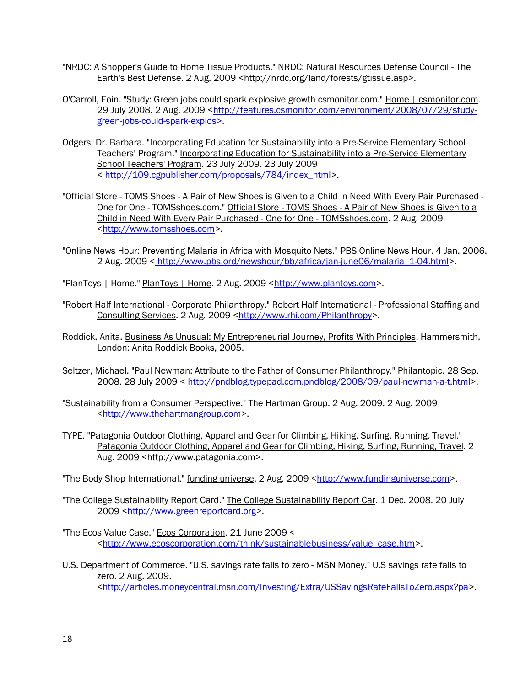- "NRDC: A Shopper's Guide to Home Tissue Products." NRDC: Natural Resources Defense Council The Earth's Best Defense. 2 Aug. 2009 <http://nrdc.org/land/forests/gtissue.asp>.
- O'Carroll, Eoin. "Study: Green jobs could spark explosive growth csmonitor.com." Home | csmonitor.com. 29 July 2008. 2 Aug. 2009 <http://features.csmonitor.com/environment/2008/07/29/studygreen-jobs-could-spark-explos>.
- Odgers, Dr. Barbara. "Incorporating Education for Sustainability into a Pre-Service Elementary School Teachers' Program." Incorporating Education for Sustainability into a Pre-Service Elementary School Teachers' Program. 23 July 2009. 23 July 2009 < http://109.cgpublisher.com/proposals/784/index\_html>.
- "Official Store TOMS Shoes A Pair of New Shoes is Given to a Child in Need With Every Pair Purchased One for One - TOMSshoes.com." Official Store - TOMS Shoes - A Pair of New Shoes is Given to a Child in Need With Every Pair Purchased - One for One - TOMSshoes.com. 2 Aug. 2009 <http://www.tomsshoes.com>.
- "Online News Hour: Preventing Malaria in Africa with Mosquito Nets." PBS Online News Hour. 4 Jan. 2006. 2 Aug. 2009 < http://www.pbs.ord/newshour/bb/africa/jan-june06/malaria\_1-04.html>.

"PlanToys | Home." PlanToys | Home. 2 Aug. 2009 <http://www.plantoys.com>.

- "Robert Half International Corporate Philanthropy." Robert Half International Professional Staffing and Consulting Services. 2 Aug. 2009 <http://www.rhi.com/Philanthropy>.
- Roddick, Anita. Business As Unusual: My Entrepreneurial Journey, Profits With Principles. Hammersmith, London: Anita Roddick Books, 2005.
- Seltzer, Michael. "Paul Newman: Attribute to the Father of Consumer Philanthropy." Philantopic. 28 Sep. 2008. 28 July 2009 < http://pndblog.typepad.com.pndblog/2008/09/paul-newman-a-t.html>.
- "Sustainability from a Consumer Perspective." The Hartman Group. 2 Aug. 2009. 2 Aug. 2009 <http://www.thehartmangroup.com>.
- TYPE. "Patagonia Outdoor Clothing, Apparel and Gear for Climbing, Hiking, Surfing, Running, Travel." Patagonia Outdoor Clothing, Apparel and Gear for Climbing, Hiking, Surfing, Running, Travel. 2 Aug. 2009 <http://www.patagonia.com>.
- "The Body Shop International." funding universe. 2 Aug. 2009 <http://www.fundinguniverse.com>.
- "The College Sustainability Report Card." The College Sustainability Report Car. 1 Dec. 2008. 20 July 2009 <http://www.greenreportcard.org>.
- "The Ecos Value Case." Ecos Corporation. 21 June 2009 < <http://www.ecoscorporation.com/think/sustainablebusiness/value\_case.htm>.
- U.S. Department of Commerce. "U.S. savings rate falls to zero MSN Money." U.S savings rate falls to zero. 2 Aug. 2009. <http://articles.moneycentral.msn.com/Investing/Extra/USSavingsRateFallsToZero.aspx?pa>.